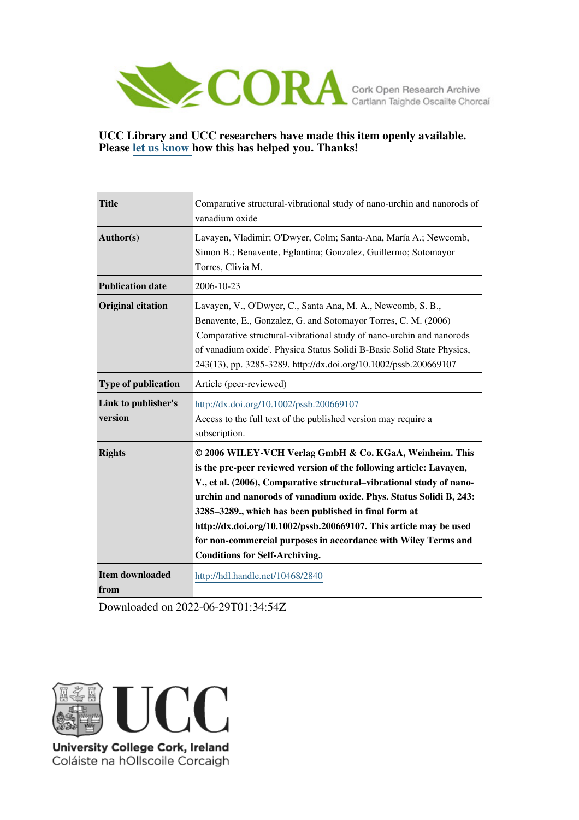

# **UCC Library and UCC researchers have made this item openly available. Please [let us know h](https://libguides.ucc.ie/openaccess/impact?suffix=2840&title=Comparative structural-vibrational study of nano-urchin and nanorods of vanadium oxide)ow this has helped you. Thanks!**

| <b>Title</b>                   | Comparative structural-vibrational study of nano-urchin and nanorods of<br>vanadium oxide                                                                                                                                                                                                                                                                                                                                                                                                                              |  |  |  |  |
|--------------------------------|------------------------------------------------------------------------------------------------------------------------------------------------------------------------------------------------------------------------------------------------------------------------------------------------------------------------------------------------------------------------------------------------------------------------------------------------------------------------------------------------------------------------|--|--|--|--|
| Author(s)                      | Lavayen, Vladimir; O'Dwyer, Colm; Santa-Ana, María A.; Newcomb,<br>Simon B.; Benavente, Eglantina; Gonzalez, Guillermo; Sotomayor<br>Torres, Clivia M.                                                                                                                                                                                                                                                                                                                                                                 |  |  |  |  |
| <b>Publication date</b>        | 2006-10-23                                                                                                                                                                                                                                                                                                                                                                                                                                                                                                             |  |  |  |  |
| <b>Original citation</b>       | Lavayen, V., O'Dwyer, C., Santa Ana, M. A., Newcomb, S. B.,<br>Benavente, E., Gonzalez, G. and Sotomayor Torres, C. M. (2006)<br>'Comparative structural-vibrational study of nano-urchin and nanorods<br>of vanadium oxide'. Physica Status Solidi B-Basic Solid State Physics,<br>243(13), pp. 3285-3289. http://dx.doi.org/10.1002/pssb.200669107                                                                                                                                                                   |  |  |  |  |
| <b>Type of publication</b>     | Article (peer-reviewed)                                                                                                                                                                                                                                                                                                                                                                                                                                                                                                |  |  |  |  |
| Link to publisher's<br>version | http://dx.doi.org/10.1002/pssb.200669107<br>Access to the full text of the published version may require a<br>subscription.                                                                                                                                                                                                                                                                                                                                                                                            |  |  |  |  |
| <b>Rights</b>                  | © 2006 WILEY-VCH Verlag GmbH & Co. KGaA, Weinheim. This<br>is the pre-peer reviewed version of the following article: Lavayen,<br>V., et al. (2006), Comparative structural-vibrational study of nano-<br>urchin and nanorods of vanadium oxide. Phys. Status Solidi B, 243:<br>3285-3289., which has been published in final form at<br>http://dx.doi.org/10.1002/pssb.200669107. This article may be used<br>for non-commercial purposes in accordance with Wiley Terms and<br><b>Conditions for Self-Archiving.</b> |  |  |  |  |
| <b>Item downloaded</b><br>from | http://hdl.handle.net/10468/2840                                                                                                                                                                                                                                                                                                                                                                                                                                                                                       |  |  |  |  |

Downloaded on 2022-06-29T01:34:54Z



University College Cork, Ireland Coláiste na hOllscoile Corcaigh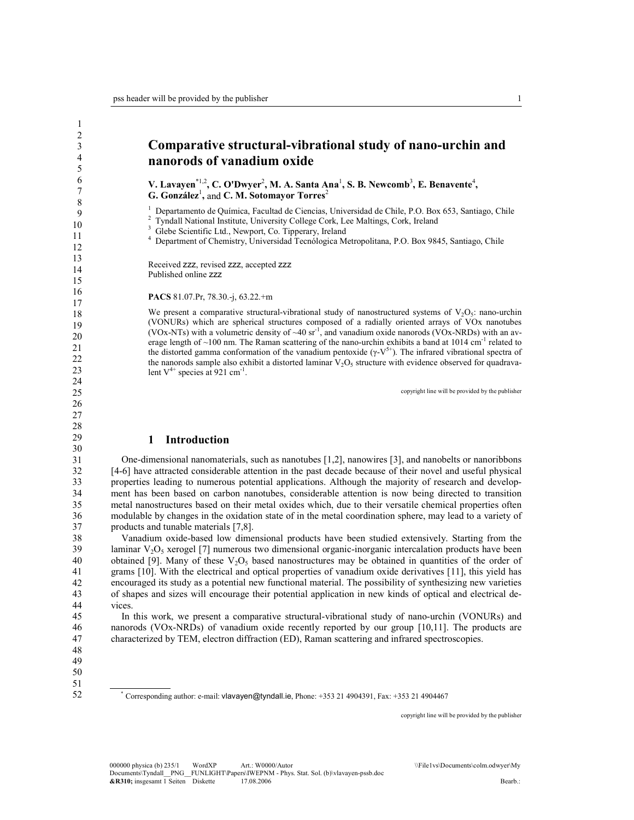1

# Comparative structural-vibrational study of nano-urchin and nanorods of vanadium oxide

V. Lavayen\*1,2, C. O'Dwyer<sup>2</sup>, M. A. Santa Ana<sup>1</sup>, S. B. Newcomb<sup>3</sup>, E. Benavente<sup>4</sup>, G. González<sup>1</sup>, and C. M. Sotomayor Torres<sup>2</sup>

1 Departamento de Química, Facultad de Ciencias, Universidad de Chile, P.O. Box 653, Santiago, Chile

2 Tyndall National Institute, University College Cork, Lee Maltings, Cork, Ireland

3 Glebe Scientific Ltd., Newport, Co. Tipperary, Ireland

4 Department of Chemistry, Universidad Tecnólogica Metropolitana, P.O. Box 9845, Santiago, Chile

Received zzz, revised zzz, accepted zzz Published online zzz

#### PACS 81.07.Pr, 78.30.-j, 63.22.+m

We present a comparative structural-vibrational study of nanostructured systems of  $V_2O_5$ : nano-urchin (VONURs) which are spherical structures composed of a radially oriented arrays of VOx nanotubes (VOx-NTs) with a volumetric density of  $\sim$ 40 sr<sup>-1</sup>, and vanadium oxide nanorods (VOx-NRDs) with an average length of  $\sim$ 100 nm. The Raman scattering of the nano-urchin exhibits a band at 1014 cm<sup>-1</sup> related to the distorted gamma conformation of the vanadium pentoxide ( $γ$ -V<sup>5+</sup>). The infrared vibrational spectra of the nanorods sample also exhibit a distorted laminar  $V_2O_5$  structure with evidence observed for quadravalent  $V^{4+}$  species at 921 cm<sup>-1</sup>.

copyright line will be provided by the publisher

#### 1 Introduction

 One-dimensional nanomaterials, such as nanotubes [1,2], nanowires [3], and nanobelts or nanoribbons [4-6] have attracted considerable attention in the past decade because of their novel and useful physical properties leading to numerous potential applications. Although the majority of research and development has been based on carbon nanotubes, considerable attention is now being directed to transition metal nanostructures based on their metal oxides which, due to their versatile chemical properties often modulable by changes in the oxidation state of in the metal coordination sphere, may lead to a variety of products and tunable materials [7,8].

38 39 40 41 42 43 44 Vanadium oxide-based low dimensional products have been studied extensively. Starting from the laminar  $V_2O_5$  xerogel [7] numerous two dimensional organic-inorganic intercalation products have been obtained [9]. Many of these  $V_2O_5$  based nanostructures may be obtained in quantities of the order of grams [10]. With the electrical and optical properties of vanadium oxide derivatives [11], this yield has encouraged its study as a potential new functional material. The possibility of synthesizing new varieties of shapes and sizes will encourage their potential application in new kinds of optical and electrical devices.

 In this work, we present a comparative structural-vibrational study of nano-urchin (VONURs) and nanorods (VOx-NRDs) of vanadium oxide recently reported by our group [10,11]. The products are characterized by TEM, electron diffraction (ED), Raman scattering and infrared spectroscopies.

47 48

45 46

- 49
- 50

51 52

\* Corresponding author: e-mail: vlavayen@tyndall.ie, Phone: +353 21 4904391, Fax: +353 21 4904467

copyright line will be provided by the publisher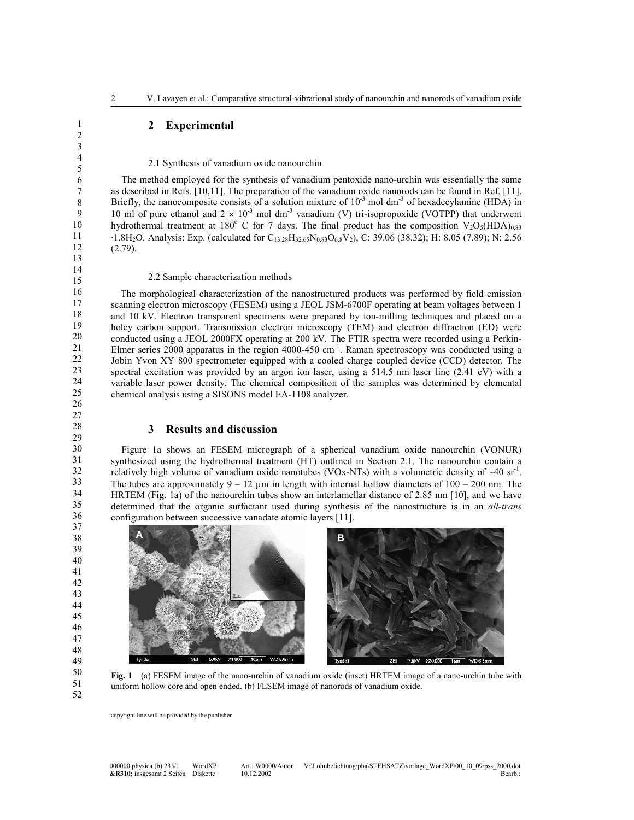### 2 Experimental

#### 2.1 Synthesis of vanadium oxide nanourchin

 The method employed for the synthesis of vanadium pentoxide nano-urchin was essentially the same as described in Refs. [10,11]. The preparation of the vanadium oxide nanorods can be found in Ref. [11]. Briefly, the nanocomposite consists of a solution mixture of  $10^{-3}$  mol dm<sup>-3</sup> of hexadecylamine (HDA) in 10 ml of pure ethanol and  $2 \times 10^{-3}$  mol dm<sup>-3</sup> vanadium (V) tri-isopropoxide (VOTPP) that underwent hydrothermal treatment at 180° C for 7 days. The final product has the composition  $V_2O_5(HDA)_{0.83}$  $\cdot$ 1.8H<sub>2</sub>O. Analysis: Exp. (calculated for C<sub>13.28</sub>H<sub>32.65</sub>N<sub>0.83</sub>O<sub>6.8</sub>V<sub>2</sub>), C: 39.06 (38.32); H: 8.05 (7.89); N: 2.56 (2.79).

#### 2.2 Sample characterization methods

 The morphological characterization of the nanostructured products was performed by field emission scanning electron microscopy (FESEM) using a JEOL JSM-6700F operating at beam voltages between 1 and 10 kV. Electron transparent specimens were prepared by ion-milling techniques and placed on a holey carbon support. Transmission electron microscopy (TEM) and electron diffraction (ED) were conducted using a JEOL 2000FX operating at 200 kV. The FTIR spectra were recorded using a Perkin-Elmer series 2000 apparatus in the region 4000-450 cm<sup>-1</sup>. Raman spectroscopy was conducted using a Jobin Yvon XY 800 spectrometer equipped with a cooled charge coupled device (CCD) detector. The spectral excitation was provided by an argon ion laser, using a 514.5 nm laser line (2.41 eV) with a variable laser power density. The chemical composition of the samples was determined by elemental chemical analysis using a SISONS model EA-1108 analyzer.

#### 3 Results and discussion

 Figure 1a shows an FESEM micrograph of a spherical vanadium oxide nanourchin (VONUR) synthesized using the hydrothermal treatment (HT) outlined in Section 2.1. The nanourchin contain a relatively high volume of vanadium oxide nanotubes (VOx-NTs) with a volumetric density of  $\sim 40$  sr<sup>-1</sup>. The tubes are approximately  $9 - 12 \mu m$  in length with internal hollow diameters of  $100 - 200 \mu m$ . The HRTEM (Fig. 1a) of the nanourchin tubes show an interlamellar distance of 2.85 nm [10], and we have determined that the organic surfactant used during synthesis of the nanostructure is in an all-trans configuration between successive vanadate atomic layers [11].



Fig. 1 (a) FESEM image of the nano-urchin of vanadium oxide (inset) HRTEM image of a nano-urchin tube with uniform hollow core and open ended. (b) FESEM image of nanorods of vanadium oxide.

copyright line will be provided by the publisher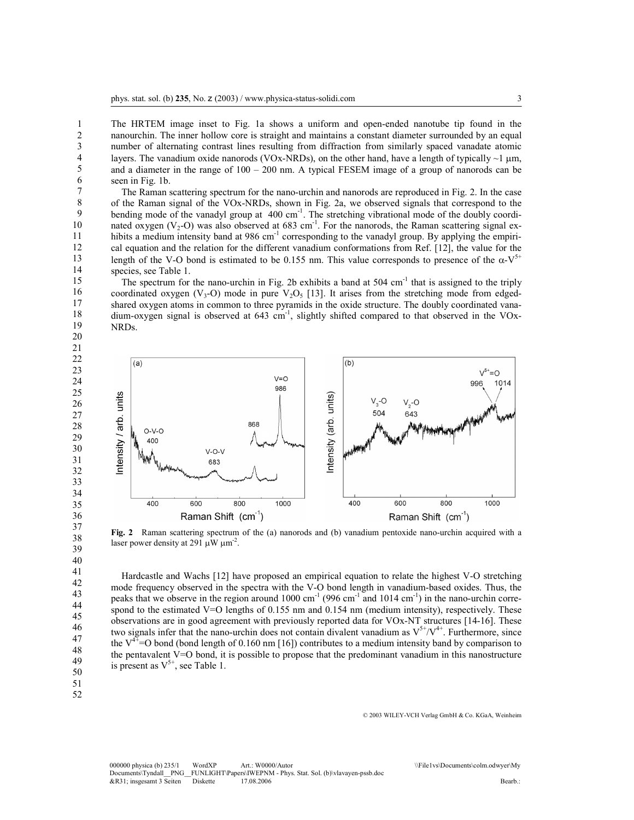The HRTEM image inset to Fig. 1a shows a uniform and open-ended nanotube tip found in the nanourchin. The inner hollow core is straight and maintains a constant diameter surrounded by an equal number of alternating contrast lines resulting from diffraction from similarly spaced vanadate atomic layers. The vanadium oxide nanorods (VOx-NRDs), on the other hand, have a length of typically  $\sim$ 1  $\mu$ m, and a diameter in the range of 100 – 200 nm. A typical FESEM image of a group of nanorods can be seen in Fig. 1b.

 The Raman scattering spectrum for the nano-urchin and nanorods are reproduced in Fig. 2. In the case of the Raman signal of the VOx-NRDs, shown in Fig. 2a, we observed signals that correspond to the bending mode of the vanadyl group at 400 cm<sup>-1</sup>. The stretching vibrational mode of the doubly coordinated oxygen (V<sub>2</sub>-O) was also observed at 683 cm<sup>-1</sup>. For the nanorods, the Raman scattering signal exhibits a medium intensity band at 986 cm<sup>-1</sup> corresponding to the vanadyl group. By applying the empirical equation and the relation for the different vanadium conformations from Ref. [12], the value for the length of the V-O bond is estimated to be 0.155 nm. This value corresponds to presence of the  $\alpha$ -V<sup>5+</sup> species, see Table 1.

The spectrum for the nano-urchin in Fig. 2b exhibits a band at 504 cm<sup>-1</sup> that is assigned to the triply coordinated oxygen (V<sub>3</sub>-O) mode in pure V<sub>2</sub>O<sub>5</sub> [13]. It arises from the stretching mode from edgedshared oxygen atoms in common to three pyramids in the oxide structure. The doubly coordinated vanadium-oxygen signal is observed at  $643 \text{ cm}^{-1}$ , slightly shifted compared to that observed in the VOx-NRDs.



Fig. 2 Raman scattering spectrum of the (a) nanorods and (b) vanadium pentoxide nano-urchin acquired with a laser power density at 291  $\mu$ W  $\mu$ m<sup>-2</sup>.

 Hardcastle and Wachs [12] have proposed an empirical equation to relate the highest V-O stretching mode frequency observed in the spectra with the V-O bond length in vanadium-based oxides. Thus, the peaks that we observe in the region around  $1000 \text{ cm}^{-1}$  (996 cm<sup>-1</sup> and 1014 cm<sup>-1</sup>) in the nano-urchin correspond to the estimated V=O lengths of 0.155 nm and 0.154 nm (medium intensity), respectively. These observations are in good agreement with previously reported data for VOx-NT structures [14-16]. These two signals infer that the nano-urchin does not contain divalent vanadium as  $V^{5+}/V^{4+}$ . Furthermore, since the  $V^{4+}$ =O bond (bond length of 0.160 nm [16]) contributes to a medium intensity band by comparison to the pentavalent V=O bond, it is possible to propose that the predominant vanadium in this nanostructure is present as  $V^{5+}$ , see Table 1.

49 50

51 52

© 2003 WILEY-VCH Verlag GmbH & Co. KGaA, Weinheim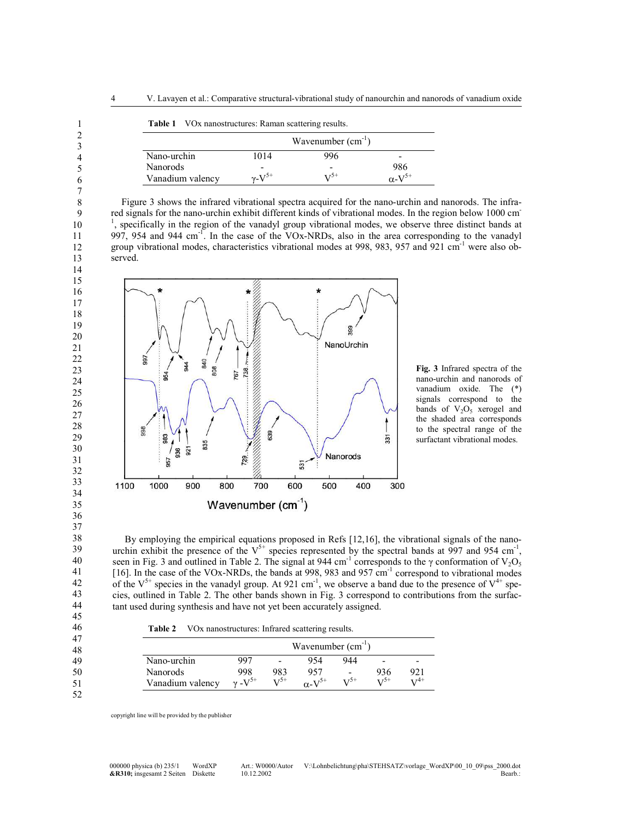|                  |                | Wavenumber $(cm-1)$ |                           |
|------------------|----------------|---------------------|---------------------------|
| Nano-urchin      | 1014           | 996                 | -                         |
| Nanorods         |                |                     | 986                       |
| Vanadium valency | $v$ - $V^{5+}$ | $\sqrt{25}$         | $\alpha$ -V <sup>5+</sup> |

 Figure 3 shows the infrared vibrational spectra acquired for the nano-urchin and nanorods. The infrared signals for the nano-urchin exhibit different kinds of vibrational modes. In the region below 1000 cm - <sup>1</sup>, specifically in the region of the vanadyl group vibrational modes, we observe three distinct bands at 997, 954 and 944 cm<sup>-1</sup>. In the case of the VOx-NRDs, also in the area corresponding to the vanadyl group vibrational modes, characteristics vibrational modes at 998, 983, 957 and 921 cm-1 were also observed.



Fig. 3 Infrared spectra of the nano-urchin and nanorods of vanadium oxide. The (\*) signals correspond to the bands of  $V_2O_5$  xerogel and the shaded area corresponds to the spectral range of the surfactant vibrational modes.

 By employing the empirical equations proposed in Refs [12,16], the vibrational signals of the nanourchin exhibit the presence of the  $V^{5+}$  species represented by the spectral bands at 997 and 954 cm<sup>-1</sup>, seen in Fig. 3 and outlined in Table 2. The signal at 944 cm<sup>-1</sup> corresponds to the γ conformation of V<sub>2</sub>O<sub>5</sub> [16]. In the case of the VOx-NRDs, the bands at 998, 983 and 957 cm<sup>-1</sup> correspond to vibrational modes of the  $V^{5+}$  species in the vanadyl group. At 921 cm<sup>-1</sup>, we observe a band due to the presence of  $V^{4+}$  species, outlined in Table 2. The other bands shown in Fig. 3 correspond to contributions from the surfactant used during synthesis and have not yet been accurately assigned.

Table 2 VOx nanostructures: Infrared scattering results.

| 47<br>48 |                  | Wavenumber $(cm-1)$ |                   |                     |                   |          |                   |  |
|----------|------------------|---------------------|-------------------|---------------------|-------------------|----------|-------------------|--|
| 49       | Nano-urchin      | 997                 |                   | 954                 | 944               | -        |                   |  |
| 50       | Nanorods         | 998                 | 983               | 957                 | -                 | 936      | 921               |  |
| 51       | Vanadium valency | $v - V^{5+}$        | $\mathbf{V}^{5+}$ | $\alpha$ - $V^{5+}$ | $\mathbf{V}^{5+}$ | $V^{5+}$ | $\mathbf{v}^{4+}$ |  |
| 52       |                  |                     |                   |                     |                   |          |                   |  |

copyright line will be provided by the publisher

1 2 3

30 31